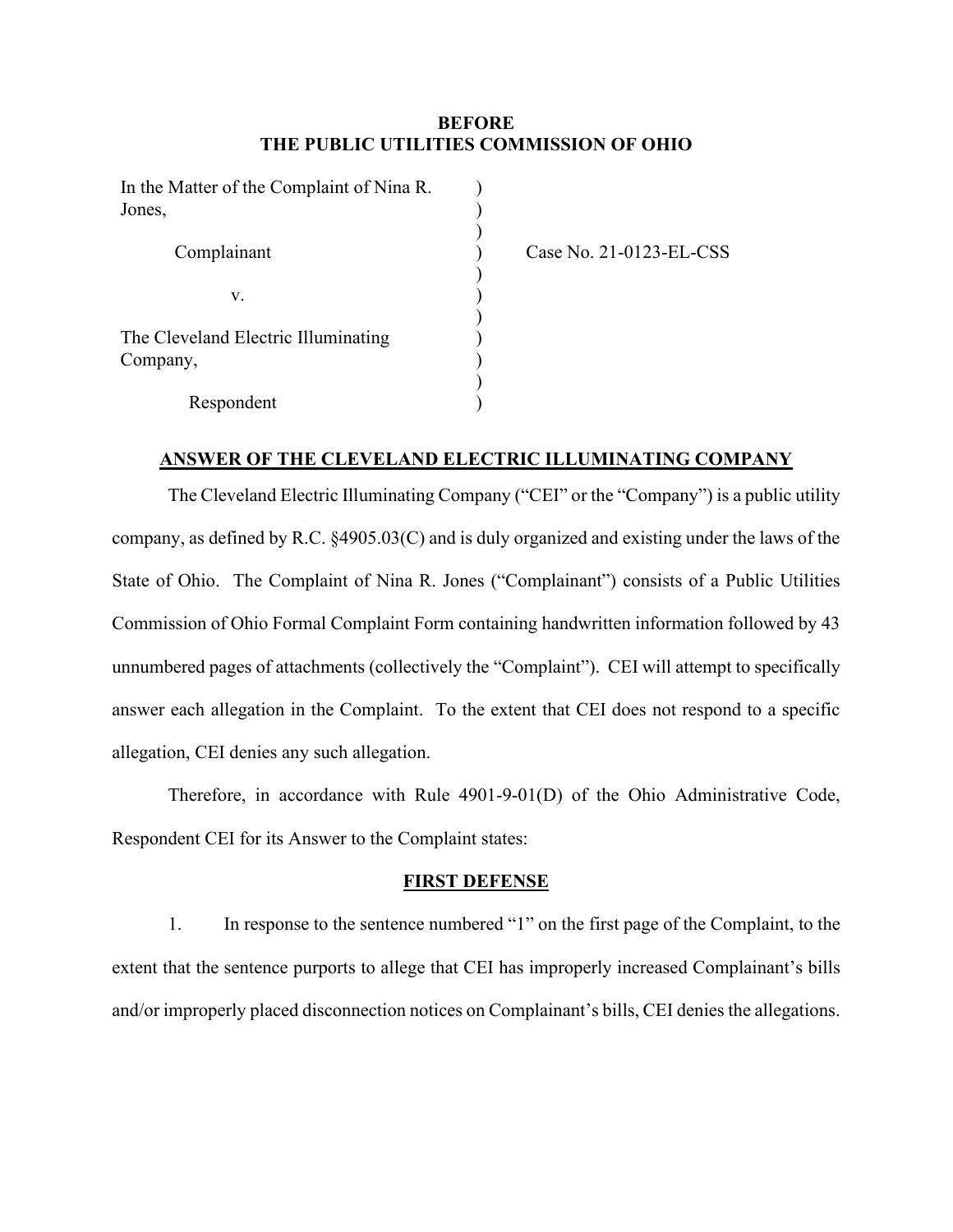## **BEFORE THE PUBLIC UTILITIES COMMISSION OF OHIO**

| In the Matter of the Complaint of Nina R.<br>Jones, |  |
|-----------------------------------------------------|--|
| Complainant                                         |  |
| V.                                                  |  |
| The Cleveland Electric Illuminating<br>Company,     |  |
| Respondent                                          |  |

Case No. 21-0123-EL-CSS

### **ANSWER OF THE CLEVELAND ELECTRIC ILLUMINATING COMPANY**

The Cleveland Electric Illuminating Company ("CEI" or the "Company") is a public utility company, as defined by R.C. §4905.03(C) and is duly organized and existing under the laws of the State of Ohio. The Complaint of Nina R. Jones ("Complainant") consists of a Public Utilities Commission of Ohio Formal Complaint Form containing handwritten information followed by 43 unnumbered pages of attachments (collectively the "Complaint"). CEI will attempt to specifically answer each allegation in the Complaint. To the extent that CEI does not respond to a specific allegation, CEI denies any such allegation.

Therefore, in accordance with Rule 4901-9-01(D) of the Ohio Administrative Code, Respondent CEI for its Answer to the Complaint states:

### **FIRST DEFENSE**

1. In response to the sentence numbered "1" on the first page of the Complaint, to the extent that the sentence purports to allege that CEI has improperly increased Complainant's bills and/or improperly placed disconnection notices on Complainant's bills, CEI denies the allegations.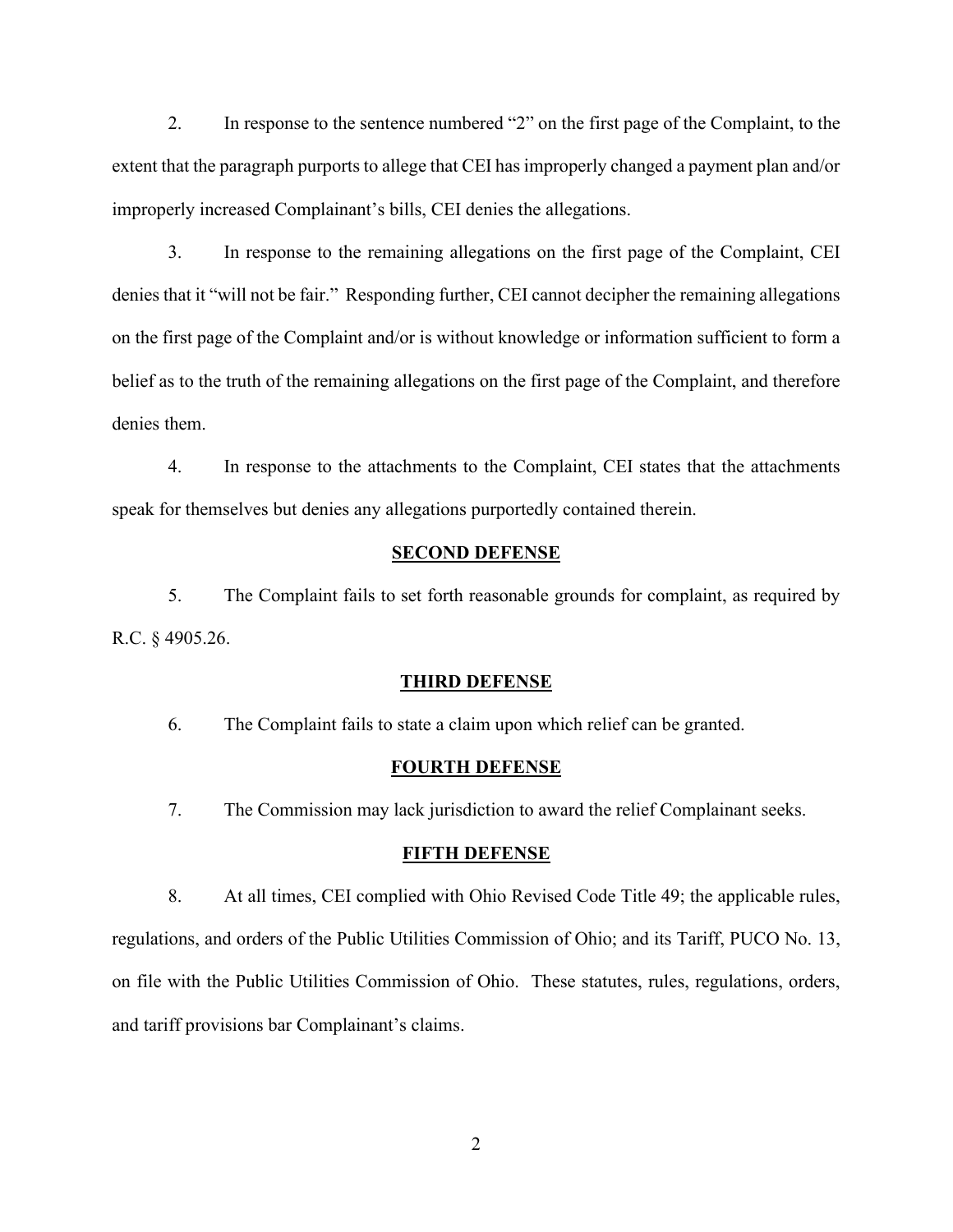2. In response to the sentence numbered "2" on the first page of the Complaint, to the extent that the paragraph purports to allege that CEI has improperly changed a payment plan and/or improperly increased Complainant's bills, CEI denies the allegations.

3. In response to the remaining allegations on the first page of the Complaint, CEI denies that it "will not be fair." Responding further, CEI cannot decipher the remaining allegations on the first page of the Complaint and/or is without knowledge or information sufficient to form a belief as to the truth of the remaining allegations on the first page of the Complaint, and therefore denies them.

4. In response to the attachments to the Complaint, CEI states that the attachments speak for themselves but denies any allegations purportedly contained therein.

### **SECOND DEFENSE**

5. The Complaint fails to set forth reasonable grounds for complaint, as required by R.C. § 4905.26.

#### **THIRD DEFENSE**

6. The Complaint fails to state a claim upon which relief can be granted.

#### **FOURTH DEFENSE**

7. The Commission may lack jurisdiction to award the relief Complainant seeks.

#### **FIFTH DEFENSE**

8. At all times, CEI complied with Ohio Revised Code Title 49; the applicable rules, regulations, and orders of the Public Utilities Commission of Ohio; and its Tariff, PUCO No. 13, on file with the Public Utilities Commission of Ohio. These statutes, rules, regulations, orders, and tariff provisions bar Complainant's claims.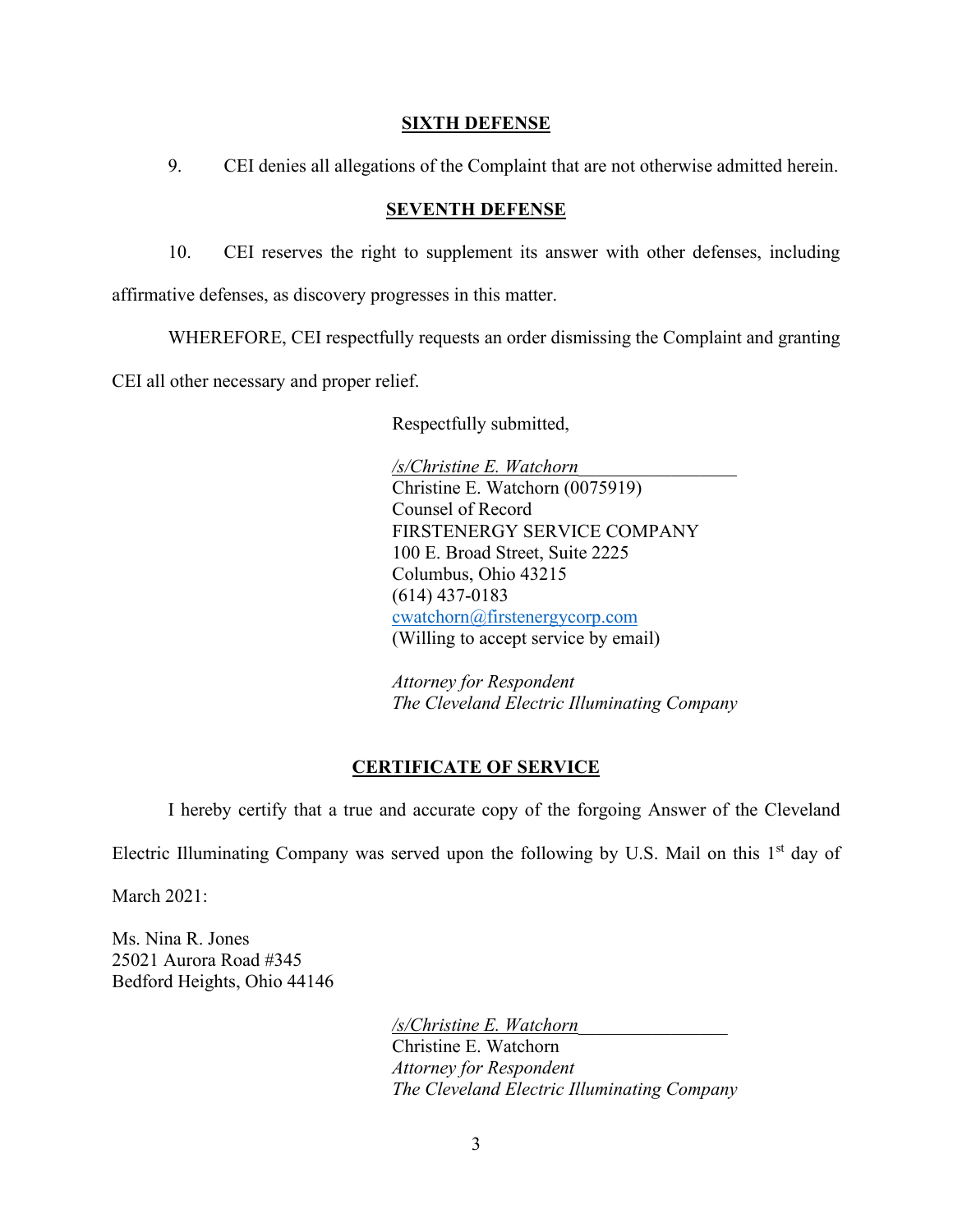### **SIXTH DEFENSE**

9. CEI denies all allegations of the Complaint that are not otherwise admitted herein.

### **SEVENTH DEFENSE**

10. CEI reserves the right to supplement its answer with other defenses, including

affirmative defenses, as discovery progresses in this matter.

WHEREFORE, CEI respectfully requests an order dismissing the Complaint and granting

CEI all other necessary and proper relief.

Respectfully submitted,

*/s/Christine E. Watchorn*\_\_\_\_\_\_\_\_\_\_\_\_\_\_\_\_\_ Christine E. Watchorn (0075919) Counsel of Record FIRSTENERGY SERVICE COMPANY 100 E. Broad Street, Suite 2225 Columbus, Ohio 43215 (614) 437-0183 [cwatchorn@firstenergycorp.com](mailto:cwatchorn@firstenergycorp.com) (Willing to accept service by email)

*Attorney for Respondent The Cleveland Electric Illuminating Company*

# **CERTIFICATE OF SERVICE**

I hereby certify that a true and accurate copy of the forgoing Answer of the Cleveland

Electric Illuminating Company was served upon the following by U.S. Mail on this  $1<sup>st</sup>$  day of

March 2021:

Ms. Nina R. Jones 25021 Aurora Road #345 Bedford Heights, Ohio 44146

> */s/Christine E. Watchorn*\_\_\_\_\_\_\_\_\_\_\_\_\_\_\_\_ Christine E. Watchorn *Attorney for Respondent The Cleveland Electric Illuminating Company*